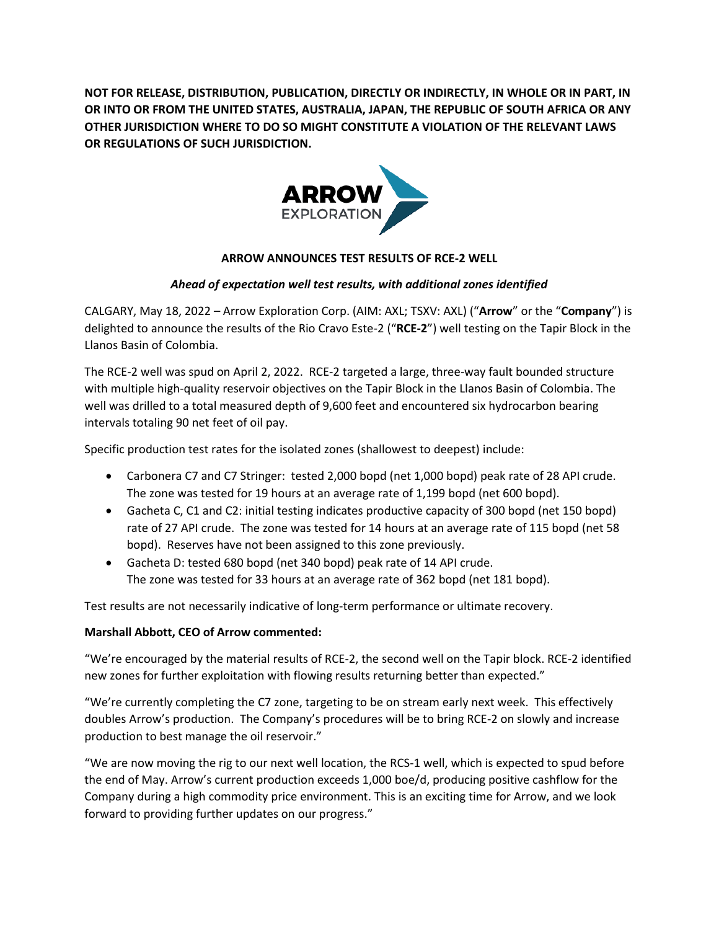**NOT FOR RELEASE, DISTRIBUTION, PUBLICATION, DIRECTLY OR INDIRECTLY, IN WHOLE OR IN PART, IN OR INTO OR FROM THE UNITED STATES, AUSTRALIA, JAPAN, THE REPUBLIC OF SOUTH AFRICA OR ANY OTHER JURISDICTION WHERE TO DO SO MIGHT CONSTITUTE A VIOLATION OF THE RELEVANT LAWS OR REGULATIONS OF SUCH JURISDICTION.**



# **ARROW ANNOUNCES TEST RESULTS OF RCE-2 WELL**

# *Ahead of expectation well test results, with additional zones identified*

CALGARY, May 18, 2022 – Arrow Exploration Corp. (AIM: AXL; TSXV: AXL) ("**Arrow**" or the "**Company**") is delighted to announce the results of the Rio Cravo Este-2 ("**RCE-2**") well testing on the Tapir Block in the Llanos Basin of Colombia.

The RCE-2 well was spud on April 2, 2022. RCE-2 targeted a large, three-way fault bounded structure with multiple high-quality reservoir objectives on the Tapir Block in the Llanos Basin of Colombia. The well was drilled to a total measured depth of 9,600 feet and encountered six hydrocarbon bearing intervals totaling 90 net feet of oil pay.

Specific production test rates for the isolated zones (shallowest to deepest) include:

- Carbonera C7 and C7 Stringer: tested 2,000 bopd (net 1,000 bopd) peak rate of 28 API crude. The zone was tested for 19 hours at an average rate of 1,199 bopd (net 600 bopd).
- Gacheta C, C1 and C2: initial testing indicates productive capacity of 300 bopd (net 150 bopd) rate of 27 API crude. The zone was tested for 14 hours at an average rate of 115 bopd (net 58 bopd). Reserves have not been assigned to this zone previously.
- Gacheta D: tested 680 bopd (net 340 bopd) peak rate of 14 API crude. The zone was tested for 33 hours at an average rate of 362 bopd (net 181 bopd).

Test results are not necessarily indicative of long-term performance or ultimate recovery.

# **Marshall Abbott, CEO of Arrow commented:**

"We're encouraged by the material results of RCE-2, the second well on the Tapir block. RCE-2 identified new zones for further exploitation with flowing results returning better than expected."

"We're currently completing the C7 zone, targeting to be on stream early next week. This effectively doubles Arrow's production. The Company's procedures will be to bring RCE-2 on slowly and increase production to best manage the oil reservoir."

"We are now moving the rig to our next well location, the RCS-1 well, which is expected to spud before the end of May. Arrow's current production exceeds 1,000 boe/d, producing positive cashflow for the Company during a high commodity price environment. This is an exciting time for Arrow, and we look forward to providing further updates on our progress."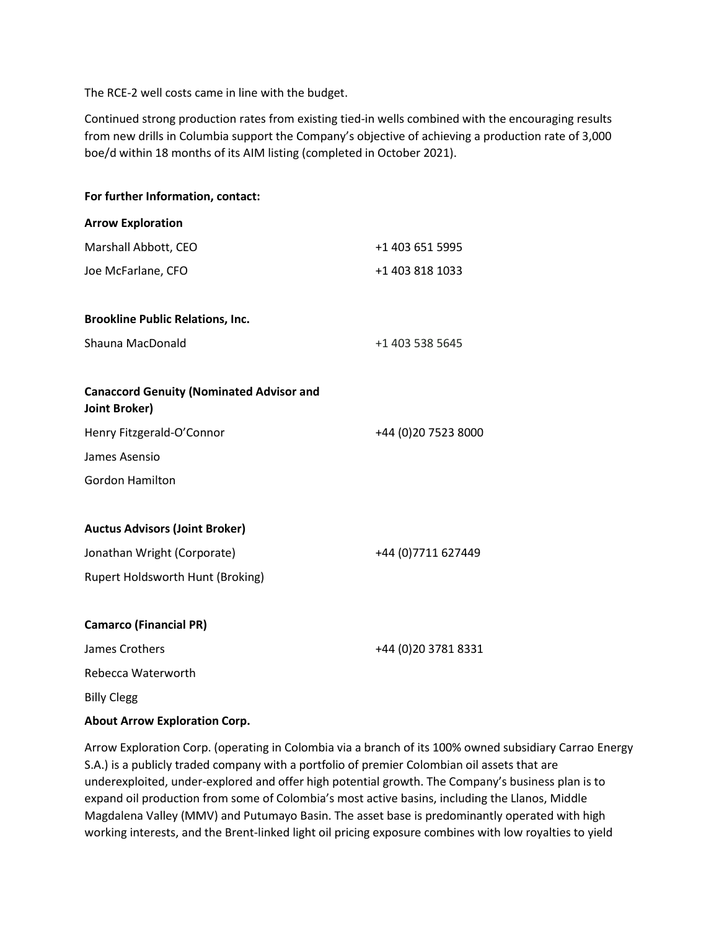The RCE-2 well costs came in line with the budget.

Continued strong production rates from existing tied-in wells combined with the encouraging results from new drills in Columbia support the Company's objective of achieving a production rate of 3,000 boe/d within 18 months of its AIM listing (completed in October 2021).

| For further Information, contact:                                       |                      |
|-------------------------------------------------------------------------|----------------------|
| <b>Arrow Exploration</b>                                                |                      |
| Marshall Abbott, CEO                                                    | +1 403 651 5995      |
| Joe McFarlane, CFO                                                      | +1 403 818 1033      |
| <b>Brookline Public Relations, Inc.</b>                                 |                      |
| Shauna MacDonald                                                        | +1 403 538 5645      |
| <b>Canaccord Genuity (Nominated Advisor and</b><br><b>Joint Broker)</b> |                      |
| Henry Fitzgerald-O'Connor                                               | +44 (0) 20 7523 8000 |
| James Asensio                                                           |                      |
| <b>Gordon Hamilton</b>                                                  |                      |
| <b>Auctus Advisors (Joint Broker)</b>                                   |                      |
| Jonathan Wright (Corporate)                                             | +44 (0) 7711 627449  |
| Rupert Holdsworth Hunt (Broking)                                        |                      |
| <b>Camarco (Financial PR)</b>                                           |                      |
| James Crothers                                                          | +44 (0) 20 3781 8331 |
| Rebecca Waterworth                                                      |                      |
| <b>Billy Clegg</b>                                                      |                      |
|                                                                         |                      |

### **About Arrow Exploration Corp.**

Arrow Exploration Corp. (operating in Colombia via a branch of its 100% owned subsidiary Carrao Energy S.A.) is a publicly traded company with a portfolio of premier Colombian oil assets that are underexploited, under-explored and offer high potential growth. The Company's business plan is to expand oil production from some of Colombia's most active basins, including the Llanos, Middle Magdalena Valley (MMV) and Putumayo Basin. The asset base is predominantly operated with high working interests, and the Brent-linked light oil pricing exposure combines with low royalties to yield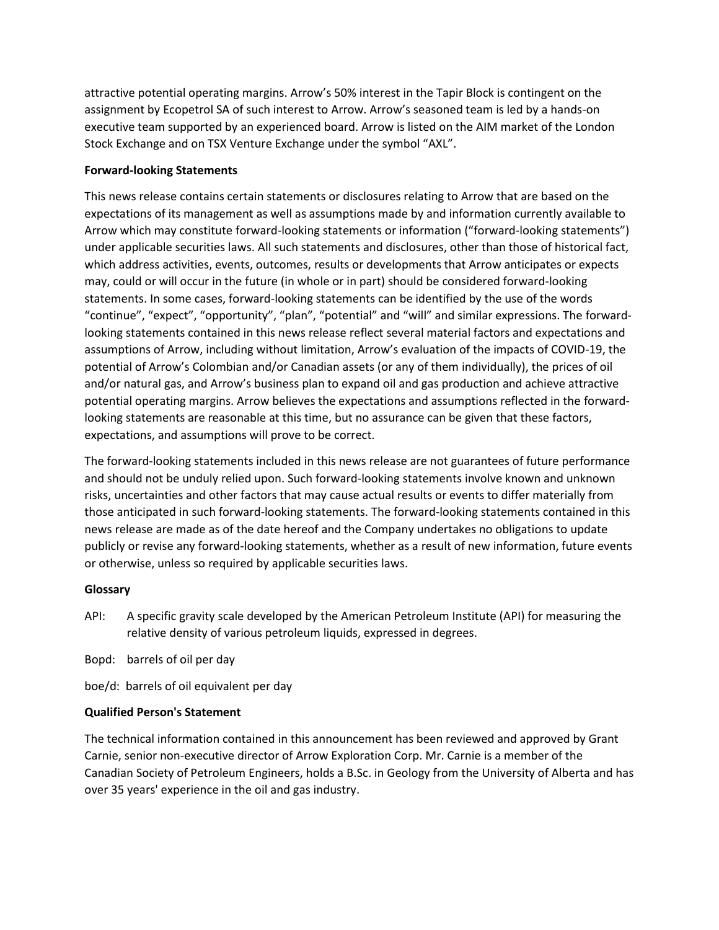attractive potential operating margins. Arrow's 50% interest in the Tapir Block is contingent on the assignment by Ecopetrol SA of such interest to Arrow. Arrow's seasoned team is led by a hands-on executive team supported by an experienced board. Arrow is listed on the AIM market of the London Stock Exchange and on TSX Venture Exchange under the symbol "AXL".

## **Forward-looking Statements**

This news release contains certain statements or disclosures relating to Arrow that are based on the expectations of its management as well as assumptions made by and information currently available to Arrow which may constitute forward-looking statements or information ("forward-looking statements") under applicable securities laws. All such statements and disclosures, other than those of historical fact, which address activities, events, outcomes, results or developments that Arrow anticipates or expects may, could or will occur in the future (in whole or in part) should be considered forward-looking statements. In some cases, forward-looking statements can be identified by the use of the words "continue", "expect", "opportunity", "plan", "potential" and "will" and similar expressions. The forwardlooking statements contained in this news release reflect several material factors and expectations and assumptions of Arrow, including without limitation, Arrow's evaluation of the impacts of COVID-19, the potential of Arrow's Colombian and/or Canadian assets (or any of them individually), the prices of oil and/or natural gas, and Arrow's business plan to expand oil and gas production and achieve attractive potential operating margins. Arrow believes the expectations and assumptions reflected in the forwardlooking statements are reasonable at this time, but no assurance can be given that these factors, expectations, and assumptions will prove to be correct.

The forward-looking statements included in this news release are not guarantees of future performance and should not be unduly relied upon. Such forward-looking statements involve known and unknown risks, uncertainties and other factors that may cause actual results or events to differ materially from those anticipated in such forward-looking statements. The forward-looking statements contained in this news release are made as of the date hereof and the Company undertakes no obligations to update publicly or revise any forward-looking statements, whether as a result of new information, future events or otherwise, unless so required by applicable securities laws.

### **Glossary**

- API: A [specific gravity](https://glossary.oilfield.slb.com/en/terms/s/specific_gravity) scale developed by the American Petroleum Institute [\(API\)](https://glossary.oilfield.slb.com/en/terms/a/api) for measuring the relative density of various petroleum liquids, expressed in degrees.
- Bopd: barrels of oil per day
- boe/d: barrels of oil equivalent per day

### **Qualified Person's Statement**

The technical information contained in this announcement has been reviewed and approved by Grant Carnie, senior non-executive director of Arrow Exploration Corp. Mr. Carnie is a member of the Canadian Society of Petroleum Engineers, holds a B.Sc. in Geology from the University of Alberta and has over 35 years' experience in the oil and gas industry.